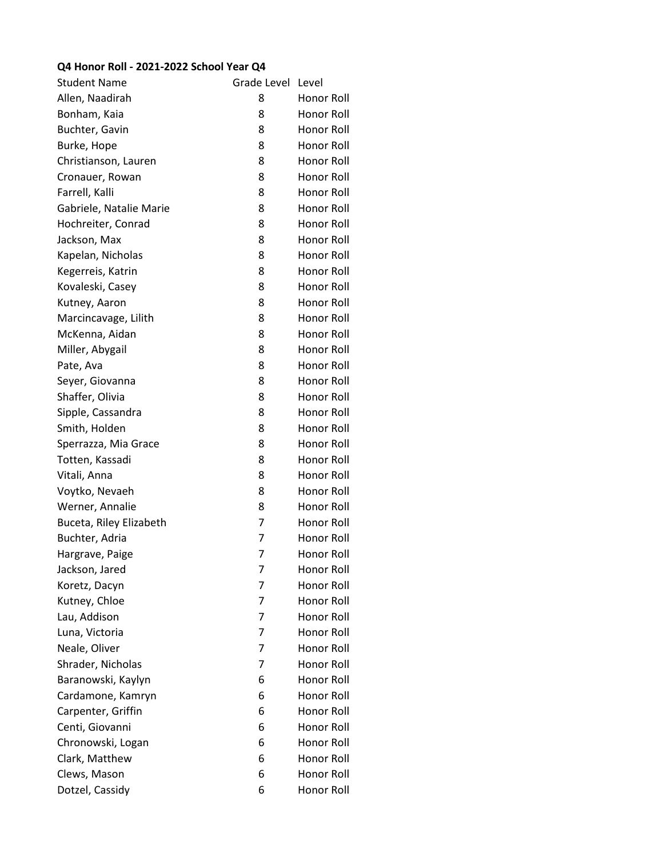## **Q4 Honor Roll - 2021-2022 School Year Q4**

| <b>Student Name</b>     | Grade Level | Level             |
|-------------------------|-------------|-------------------|
| Allen, Naadirah         | 8           | Honor Roll        |
| Bonham, Kaia            | 8           | Honor Roll        |
| Buchter, Gavin          | 8           | Honor Roll        |
| Burke, Hope             | 8           | <b>Honor Roll</b> |
| Christianson, Lauren    | 8           | Honor Roll        |
| Cronauer, Rowan         | 8           | Honor Roll        |
| Farrell, Kalli          | 8           | Honor Roll        |
| Gabriele, Natalie Marie | 8           | <b>Honor Roll</b> |
| Hochreiter, Conrad      | 8           | Honor Roll        |
| Jackson, Max            | 8           | Honor Roll        |
| Kapelan, Nicholas       | 8           | Honor Roll        |
| Kegerreis, Katrin       | 8           | Honor Roll        |
| Kovaleski, Casey        | 8           | Honor Roll        |
| Kutney, Aaron           | 8           | Honor Roll        |
| Marcincavage, Lilith    | 8           | Honor Roll        |
| McKenna, Aidan          | 8           | Honor Roll        |
| Miller, Abygail         | 8           | Honor Roll        |
| Pate, Ava               | 8           | Honor Roll        |
| Seyer, Giovanna         | 8           | Honor Roll        |
| Shaffer, Olivia         | 8           | Honor Roll        |
| Sipple, Cassandra       | 8           | Honor Roll        |
| Smith, Holden           | 8           | Honor Roll        |
| Sperrazza, Mia Grace    | 8           | Honor Roll        |
| Totten, Kassadi         | 8           | Honor Roll        |
| Vitali, Anna            | 8           | Honor Roll        |
| Voytko, Nevaeh          | 8           | Honor Roll        |
| Werner, Annalie         | 8           | Honor Roll        |
| Buceta, Riley Elizabeth | 7           | Honor Roll        |
| Buchter, Adria          | 7           | Honor Roll        |
| Hargrave, Paige         | 7           | Honor Roll        |
| Jackson, Jared          | 7           | Honor Roll        |
| Koretz, Dacyn           | 7           | Honor Roll        |
| Kutney, Chloe           | 7           | <b>Honor Roll</b> |
| Lau, Addison            | 7           | <b>Honor Roll</b> |
| Luna, Victoria          | 7           | <b>Honor Roll</b> |
| Neale, Oliver           | 7           | <b>Honor Roll</b> |
| Shrader, Nicholas       | 7           | Honor Roll        |
| Baranowski, Kaylyn      | 6           | Honor Roll        |
| Cardamone, Kamryn       | 6           | Honor Roll        |
| Carpenter, Griffin      | 6           | Honor Roll        |
| Centi, Giovanni         | 6           | Honor Roll        |
| Chronowski, Logan       | 6           | Honor Roll        |
| Clark, Matthew          | 6           | Honor Roll        |
| Clews, Mason            | 6           | Honor Roll        |
| Dotzel, Cassidy         | 6           | Honor Roll        |